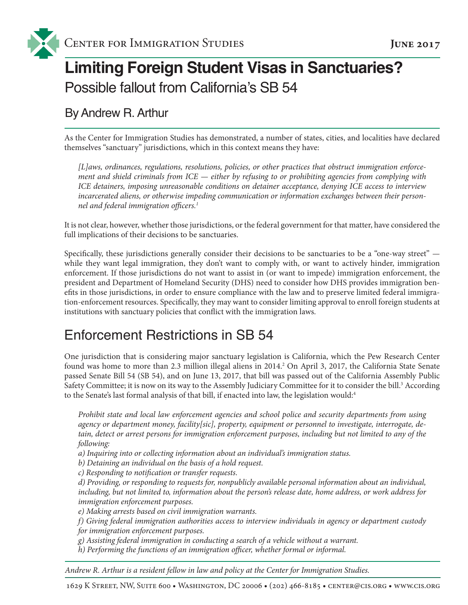

# **Limiting Foreign Student Visas in Sanctuaries?** Possible fallout from California's SB 54

### By Andrew R. Arthur

As the Center for Immigration Studies has demonstrated, a number of states, cities, and localities have declared themselves "sanctuary" jurisdictions, which in this context means they have:

*[L]aws, ordinances, regulations, resolutions, policies, or other practices that obstruct immigration enforcement and shield criminals from ICE — either by refusing to or prohibiting agencies from complying with ICE detainers, imposing unreasonable conditions on detainer acceptance, denying ICE access to interview incarcerated aliens, or otherwise impeding communication or information exchanges between their personnel and federal immigration officers.1*

It is not clear, however, whether those jurisdictions, or the federal government for that matter, have considered the full implications of their decisions to be sanctuaries.

Specifically, these jurisdictions generally consider their decisions to be sanctuaries to be a "one-way street"  while they want legal immigration, they don't want to comply with, or want to actively hinder, immigration enforcement. If those jurisdictions do not want to assist in (or want to impede) immigration enforcement, the president and Department of Homeland Security (DHS) need to consider how DHS provides immigration benefits in those jurisdictions, in order to ensure compliance with the law and to preserve limited federal immigration-enforcement resources. Specifically, they may want to consider limiting approval to enroll foreign students at institutions with sanctuary policies that conflict with the immigration laws.

### Enforcement Restrictions in SB 54

One jurisdiction that is considering major sanctuary legislation is California, which the Pew Research Center found was home to more than 2.3 million illegal aliens in 2014.<sup>2</sup> On April 3, 2017, the California State Senate passed Senate Bill 54 (SB 54), and on June 13, 2017, that bill was passed out of the California Assembly Public Safety Committee; it is now on its way to the Assembly Judiciary Committee for it to consider the bill.<sup>3</sup> According to the Senate's last formal analysis of that bill, if enacted into law, the legislation would:<sup>4</sup>

*Prohibit state and local law enforcement agencies and school police and security departments from using agency or department money, facility[sic], property, equipment or personnel to investigate, interrogate, detain, detect or arrest persons for immigration enforcement purposes, including but not limited to any of the following:*

*a) Inquiring into or collecting information about an individual's immigration status.*

*b) Detaining an individual on the basis of a hold request.*

*c) Responding to notification or transfer requests.*

*d) Providing, or responding to requests for, nonpublicly available personal information about an individual, including, but not limited to, information about the person's release date, home address, or work address for immigration enforcement purposes.*

*e) Making arrests based on civil immigration warrants.*

*f) Giving federal immigration authorities access to interview individuals in agency or department custody for immigration enforcement purposes.*

*g) Assisting federal immigration in conducting a search of a vehicle without a warrant.*

*h) Performing the functions of an immigration officer, whether formal or informal.*

*Andrew R. Arthur is a resident fellow in law and policy at the Center for Immigration Studies.*

1629 K Street, NW, Suite 600 • Washington, DC 20006 • (202) 466-8185 • center@cis.org • www.cis.org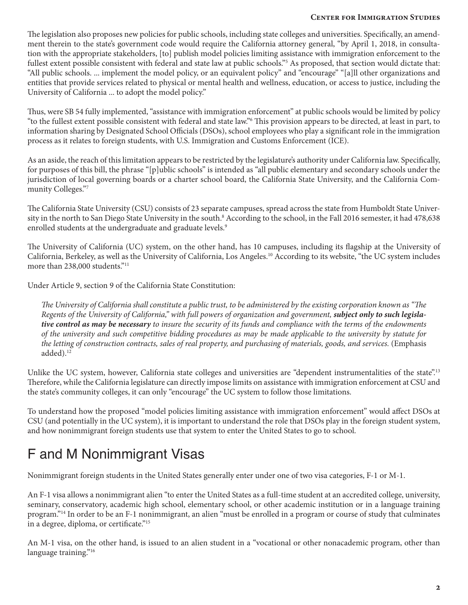The legislation also proposes new policies for public schools, including state colleges and universities. Specifically, an amendment therein to the state's government code would require the California attorney general, "by April 1, 2018, in consultation with the appropriate stakeholders, [to] publish model policies limiting assistance with immigration enforcement to the fullest extent possible consistent with federal and state law at public schools."<sup>5</sup> As proposed, that section would dictate that: "All public schools. ... implement the model policy, or an equivalent policy" and "encourage" "[a]ll other organizations and entities that provide services related to physical or mental health and wellness, education, or access to justice, including the University of California ... to adopt the model policy."

Thus, were SB 54 fully implemented, "assistance with immigration enforcement" at public schools would be limited by policy "to the fullest extent possible consistent with federal and state law."6 This provision appears to be directed, at least in part, to information sharing by Designated School Officials (DSOs), school employees who play a significant role in the immigration process as it relates to foreign students, with U.S. Immigration and Customs Enforcement (ICE).

As an aside, the reach of this limitation appears to be restricted by the legislature's authority under California law. Specifically, for purposes of this bill, the phrase "[p]ublic schools" is intended as "all public elementary and secondary schools under the jurisdiction of local governing boards or a charter school board, the California State University, and the California Community Colleges."7

The California State University (CSU) consists of 23 separate campuses, spread across the state from Humboldt State University in the north to San Diego State University in the south.<sup>8</sup> According to the school, in the Fall 2016 semester, it had 478,638 enrolled students at the undergraduate and graduate levels.<sup>9</sup>

The University of California (UC) system, on the other hand, has 10 campuses, including its flagship at the University of California, Berkeley, as well as the University of California, Los Angeles.10 According to its website, "the UC system includes more than 238,000 students."<sup>11</sup>

Under Article 9, section 9 of the California State Constitution:

*The University of California shall constitute a public trust, to be administered by the existing corporation known as "The Regents of the University of California," with full powers of organization and government, subject only to such legislative control as may be necessary to insure the security of its funds and compliance with the terms of the endowments of the university and such competitive bidding procedures as may be made applicable to the university by statute for the letting of construction contracts, sales of real property, and purchasing of materials, goods, and services.* (Emphasis added).<sup>12</sup>

Unlike the UC system, however, California state colleges and universities are "dependent instrumentalities of the state".<sup>13</sup> Therefore, while the California legislature can directly impose limits on assistance with immigration enforcement at CSU and the state's community colleges, it can only "encourage" the UC system to follow those limitations.

To understand how the proposed "model policies limiting assistance with immigration enforcement" would affect DSOs at CSU (and potentially in the UC system), it is important to understand the role that DSOs play in the foreign student system, and how nonimmigrant foreign students use that system to enter the United States to go to school.

## F and M Nonimmigrant Visas

Nonimmigrant foreign students in the United States generally enter under one of two visa categories, F-1 or M-1.

An F-1 visa allows a nonimmigrant alien "to enter the United States as a full-time student at an accredited college, university, seminary, conservatory, academic high school, elementary school, or other academic institution or in a language training program."<sup>14</sup> In order to be an F-1 nonimmigrant, an alien "must be enrolled in a program or course of study that culminates in a degree, diploma, or certificate."15

An M-1 visa, on the other hand, is issued to an alien student in a "vocational or other nonacademic program, other than language training."<sup>16</sup>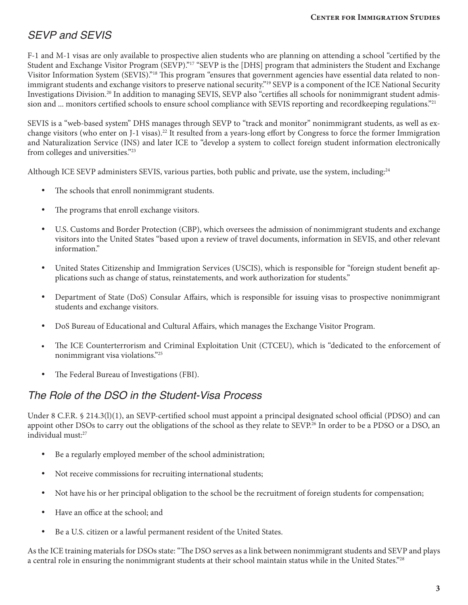### *SEVP and SEVIS*

F-1 and M-1 visas are only available to prospective alien students who are planning on attending a school "certified by the Student and Exchange Visitor Program (SEVP)."<sup>17</sup> "SEVP is the [DHS] program that administers the Student and Exchange Visitor Information System (SEVIS)."<sup>18</sup> This program "ensures that government agencies have essential data related to nonimmigrant students and exchange visitors to preserve national security."19 SEVP is a component of the ICE National Security Investigations Division.20 In addition to managing SEVIS, SEVP also "certifies all schools for nonimmigrant student admission and ... monitors certified schools to ensure school compliance with SEVIS reporting and recordkeeping regulations."<sup>21</sup>

SEVIS is a "web-based system" DHS manages through SEVP to "track and monitor" nonimmigrant students, as well as exchange visitors (who enter on J-1 visas).<sup>22</sup> It resulted from a years-long effort by Congress to force the former Immigration and Naturalization Service (INS) and later ICE to "develop a system to collect foreign student information electronically from colleges and universities."23

Although ICE SEVP administers SEVIS, various parties, both public and private, use the system, including:<sup>24</sup>

- The schools that enroll nonimmigrant students.
- The programs that enroll exchange visitors.
- U.S. Customs and Border Protection (CBP), which oversees the admission of nonimmigrant students and exchange visitors into the United States "based upon a review of travel documents, information in SEVIS, and other relevant information."
- United States Citizenship and Immigration Services (USCIS), which is responsible for "foreign student benefit applications such as change of status, reinstatements, and work authorization for students."
- Department of State (DoS) Consular Affairs, which is responsible for issuing visas to prospective nonimmigrant students and exchange visitors.
- DoS Bureau of Educational and Cultural Affairs, which manages the Exchange Visitor Program.
- The ICE Counterterrorism and Criminal Exploitation Unit (CTCEU), which is "dedicated to the enforcement of nonimmigrant visa violations."25
- The Federal Bureau of Investigations (FBI).

### *The Role of the DSO in the Student-Visa Process*

Under 8 C.F.R. § 214.3(l)(1), an SEVP-certified school must appoint a principal designated school official (PDSO) and can appoint other DSOs to carry out the obligations of the school as they relate to SEVP.<sup>26</sup> In order to be a PDSO or a DSO, an individual must:27

- Be a regularly employed member of the school administration;
- Not receive commissions for recruiting international students;
- Not have his or her principal obligation to the school be the recruitment of foreign students for compensation;
- Have an office at the school; and
- Be a U.S. citizen or a lawful permanent resident of the United States.

As the ICE training materials for DSOs state: "The DSO serves as a link between nonimmigrant students and SEVP and plays a central role in ensuring the nonimmigrant students at their school maintain status while in the United States."<sup>28</sup>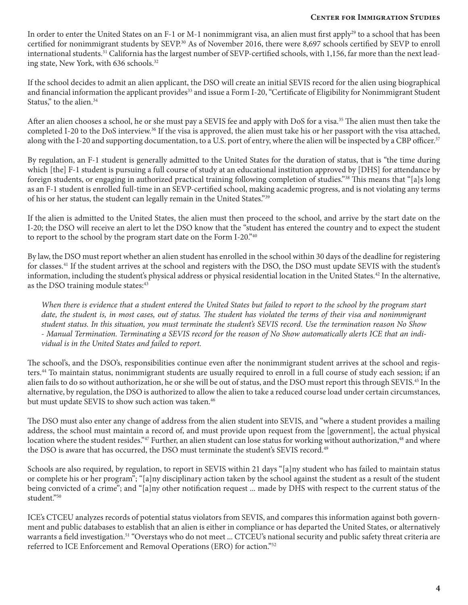In order to enter the United States on an F-1 or M-1 nonimmigrant visa, an alien must first apply<sup>29</sup> to a school that has been certified for nonimmigrant students by SEVP.30 As of November 2016, there were 8,697 schools certified by SEVP to enroll international students.<sup>31</sup> California has the largest number of SEVP-certified schools, with 1,156, far more than the next leading state, New York, with 636 schools.<sup>32</sup>

If the school decides to admit an alien applicant, the DSO will create an initial SEVIS record for the alien using biographical and financial information the applicant provides<sup>33</sup> and issue a Form I-20, "Certificate of Eligibility for Nonimmigrant Student Status," to the alien.<sup>34</sup>

After an alien chooses a school, he or she must pay a SEVIS fee and apply with DoS for a visa.<sup>35</sup> The alien must then take the completed I-20 to the DoS interview.<sup>36</sup> If the visa is approved, the alien must take his or her passport with the visa attached, along with the I-20 and supporting documentation, to a U.S. port of entry, where the alien will be inspected by a CBP officer.<sup>37</sup>

By regulation, an F-1 student is generally admitted to the United States for the duration of status, that is "the time during which [the] F-1 student is pursuing a full course of study at an educational institution approved by [DHS] for attendance by foreign students, or engaging in authorized practical training following completion of studies."38 This means that "[a]s long as an F-1 student is enrolled full-time in an SEVP-certified school, making academic progress, and is not violating any terms of his or her status, the student can legally remain in the United States."39

If the alien is admitted to the United States, the alien must then proceed to the school, and arrive by the start date on the I-20; the DSO will receive an alert to let the DSO know that the "student has entered the country and to expect the student to report to the school by the program start date on the Form I-20."40

By law, the DSO must report whether an alien student has enrolled in the school within 30 days of the deadline for registering for classes.41 If the student arrives at the school and registers with the DSO, the DSO must update SEVIS with the student's information, including the student's physical address or physical residential location in the United States.42 In the alternative, as the DSO training module states:<sup>43</sup>

*When there is evidence that a student entered the United States but failed to report to the school by the program start*  date, the student is, in most cases, out of status. The student has violated the terms of their visa and nonimmigrant *student status. In this situation, you must terminate the student's SEVIS record. Use the termination reason No Show - Manual Termination. Terminating a SEVIS record for the reason of No Show automatically alerts ICE that an individual is in the United States and failed to report.*

The school's, and the DSO's, responsibilities continue even after the nonimmigrant student arrives at the school and registers.44 To maintain status, nonimmigrant students are usually required to enroll in a full course of study each session; if an alien fails to do so without authorization, he or she will be out of status, and the DSO must report this through SEVIS.45 In the alternative, by regulation, the DSO is authorized to allow the alien to take a reduced course load under certain circumstances, but must update SEVIS to show such action was taken.<sup>46</sup>

The DSO must also enter any change of address from the alien student into SEVIS, and "where a student provides a mailing address, the school must maintain a record of, and must provide upon request from the [government], the actual physical location where the student resides."47 Further, an alien student can lose status for working without authorization,<sup>48</sup> and where the DSO is aware that has occurred, the DSO must terminate the student's SEVIS record.<sup>49</sup>

Schools are also required, by regulation, to report in SEVIS within 21 days "[a]ny student who has failed to maintain status or complete his or her program"; "[a]ny disciplinary action taken by the school against the student as a result of the student being convicted of a crime"; and "[a]ny other notification request ... made by DHS with respect to the current status of the student."50

ICE's CTCEU analyzes records of potential status violators from SEVIS, and compares this information against both government and public databases to establish that an alien is either in compliance or has departed the United States, or alternatively warrants a field investigation.51 "Overstays who do not meet ... CTCEU's national security and public safety threat criteria are referred to ICE Enforcement and Removal Operations (ERO) for action."52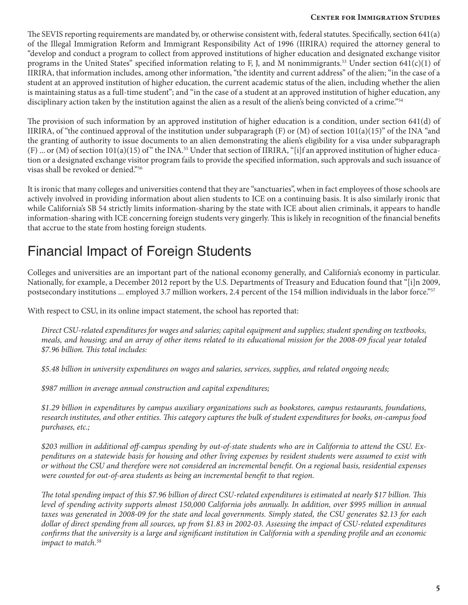#### **Center for Immigration Studies**

The SEVIS reporting requirements are mandated by, or otherwise consistent with, federal statutes. Specifically, section 641(a) of the Illegal Immigration Reform and Immigrant Responsibility Act of 1996 (IIRIRA) required the attorney general to "develop and conduct a program to collect from approved institutions of higher education and designated exchange visitor programs in the United States" specified information relating to F, J, and M nonimmigrants.<sup>53</sup> Under section 641(c)(1) of IIRIRA, that information includes, among other information, "the identity and current address" of the alien; "in the case of a student at an approved institution of higher education, the current academic status of the alien, including whether the alien is maintaining status as a full-time student"; and "in the case of a student at an approved institution of higher education, any disciplinary action taken by the institution against the alien as a result of the alien's being convicted of a crime."<sup>54</sup>

The provision of such information by an approved institution of higher education is a condition, under section 641(d) of IIRIRA, of "the continued approval of the institution under subparagraph  $(F)$  or  $(M)$  of section 101(a)(15)" of the INA "and the granting of authority to issue documents to an alien demonstrating the alien's eligibility for a visa under subparagraph  $(F)$  ... or  $(M)$  of section 101(a)(15) of" the INA.<sup>55</sup> Under that section of IIRIRA, "[i]f an approved institution of higher education or a designated exchange visitor program fails to provide the specified information, such approvals and such issuance of visas shall be revoked or denied."56

It is ironic that many colleges and universities contend that they are "sanctuaries", when in fact employees of those schools are actively involved in providing information about alien students to ICE on a continuing basis. It is also similarly ironic that while California's SB 54 strictly limits information-sharing by the state with ICE about alien criminals, it appears to handle information-sharing with ICE concerning foreign students very gingerly. This is likely in recognition of the financial benefits that accrue to the state from hosting foreign students.

## Financial Impact of Foreign Students

Colleges and universities are an important part of the national economy generally, and California's economy in particular. Nationally, for example, a December 2012 report by the U.S. Departments of Treasury and Education found that "[i]n 2009, postsecondary institutions ... employed 3.7 million workers, 2.4 percent of the 154 million individuals in the labor force."<sup>57</sup>

With respect to CSU, in its online impact statement, the school has reported that:

*Direct CSU-related expenditures for wages and salaries; capital equipment and supplies; student spending on textbooks, meals, and housing; and an array of other items related to its educational mission for the 2008-09 fiscal year totaled \$7.96 billion. This total includes:*

*\$5.48 billion in university expenditures on wages and salaries, services, supplies, and related ongoing needs;*

*\$987 million in average annual construction and capital expenditures;*

*\$1.29 billion in expenditures by campus auxiliary organizations such as bookstores, campus restaurants, foundations, research institutes, and other entities. This category captures the bulk of student expenditures for books, on-campus food purchases, etc.;*

*\$203 million in additional off-campus spending by out-of-state students who are in California to attend the CSU. Expenditures on a statewide basis for housing and other living expenses by resident students were assumed to exist with or without the CSU and therefore were not considered an incremental benefit. On a regional basis, residential expenses were counted for out-of-area students as being an incremental benefit to that region.*

*The total spending impact of this \$7.96 billion of direct CSU-related expenditures is estimated at nearly \$17 billion. This level of spending activity supports almost 150,000 California jobs annually. In addition, over \$995 million in annual taxes was generated in 2008-09 for the state and local governments. Simply stated, the CSU generates \$2.13 for each dollar of direct spending from all sources, up from \$1.83 in 2002-03. Assessing the impact of CSU-related expenditures confirms that the university is a large and significant institution in California with a spending profile and an economic impact to match.58*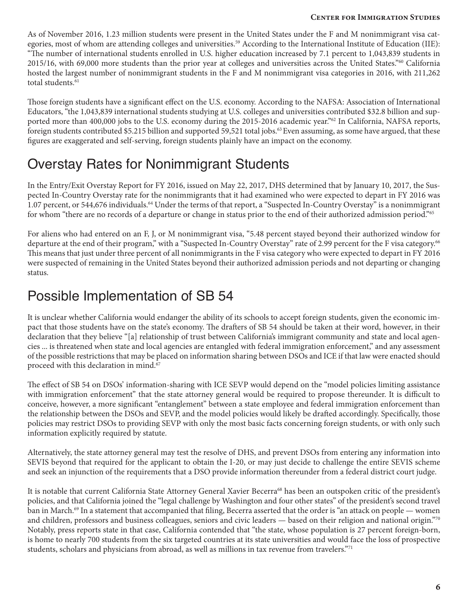As of November 2016, 1.23 million students were present in the United States under the F and M nonimmigrant visa categories, most of whom are attending colleges and universities.<sup>59</sup> According to the International Institute of Education (IIE): "The number of international students enrolled in U.S. higher education increased by 7.1 percent to 1,043,839 students in 2015/16, with 69,000 more students than the prior year at colleges and universities across the United States."60 California hosted the largest number of nonimmigrant students in the F and M nonimmigrant visa categories in 2016, with 211,262 total students.<sup>61</sup>

Those foreign students have a significant effect on the U.S. economy. According to the NAFSA: Association of International Educators, "the 1,043,839 international students studying at U.S. colleges and universities contributed \$32.8 billion and supported more than 400,000 jobs to the U.S. economy during the 2015-2016 academic year."<sup>62</sup> In California, NAFSA reports, foreign students contributed \$5.215 billion and supported 59,521 total jobs.<sup>63</sup> Even assuming, as some have argued, that these figures are exaggerated and self-serving, foreign students plainly have an impact on the economy.

## Overstay Rates for Nonimmigrant Students

In the Entry/Exit Overstay Report for FY 2016, issued on May 22, 2017, DHS determined that by January 10, 2017, the Suspected In-Country Overstay rate for the nonimmigrants that it had examined who were expected to depart in FY 2016 was 1.07 percent, or 544,676 individuals.<sup>64</sup> Under the terms of that report, a "Suspected In-Country Overstay" is a nonimmigrant for whom "there are no records of a departure or change in status prior to the end of their authorized admission period."65

For aliens who had entered on an F, J, or M nonimmigrant visa, "5.48 percent stayed beyond their authorized window for departure at the end of their program," with a "Suspected In-Country Overstay" rate of 2.99 percent for the F visa category.<sup>66</sup> This means that just under three percent of all nonimmigrants in the F visa category who were expected to depart in FY 2016 were suspected of remaining in the United States beyond their authorized admission periods and not departing or changing status.

### Possible Implementation of SB 54

It is unclear whether California would endanger the ability of its schools to accept foreign students, given the economic impact that those students have on the state's economy. The drafters of SB 54 should be taken at their word, however, in their declaration that they believe "[a] relationship of trust between California's immigrant community and state and local agencies ... is threatened when state and local agencies are entangled with federal immigration enforcement," and any assessment of the possible restrictions that may be placed on information sharing between DSOs and ICE if that law were enacted should proceed with this declaration in mind.<sup>67</sup>

The effect of SB 54 on DSOs' information-sharing with ICE SEVP would depend on the "model policies limiting assistance with immigration enforcement" that the state attorney general would be required to propose thereunder. It is difficult to conceive, however, a more significant "entanglement" between a state employee and federal immigration enforcement than the relationship between the DSOs and SEVP, and the model policies would likely be drafted accordingly. Specifically, those policies may restrict DSOs to providing SEVP with only the most basic facts concerning foreign students, or with only such information explicitly required by statute.

Alternatively, the state attorney general may test the resolve of DHS, and prevent DSOs from entering any information into SEVIS beyond that required for the applicant to obtain the I-20, or may just decide to challenge the entire SEVIS scheme and seek an injunction of the requirements that a DSO provide information thereunder from a federal district court judge.

It is notable that current California State Attorney General Xavier Becerra68 has been an outspoken critic of the president's policies, and that California joined the "legal challenge by Washington and four other states" of the president's second travel ban in March.69 In a statement that accompanied that filing, Becerra asserted that the order is "an attack on people — women and children, professors and business colleagues, seniors and civic leaders — based on their religion and national origin."70 Notably, press reports state in that case, California contended that "the state, whose population is 27 percent foreign-born, is home to nearly 700 students from the six targeted countries at its state universities and would face the loss of prospective students, scholars and physicians from abroad, as well as millions in tax revenue from travelers."<sup>71</sup>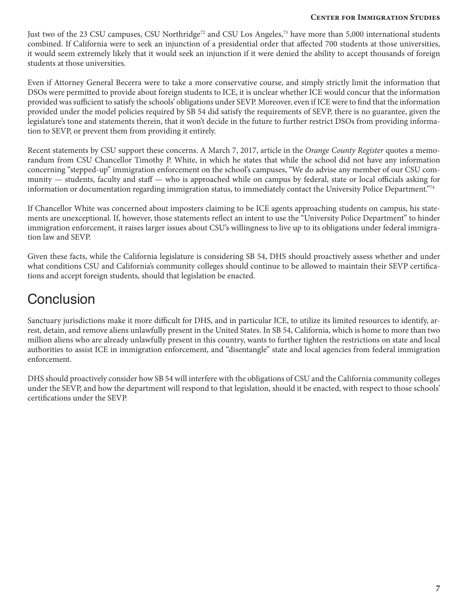#### **Center for Immigration Studies**

Just two of the 23 CSU campuses, CSU Northridge<sup>72</sup> and CSU Los Angeles,<sup>73</sup> have more than 5,000 international students combined. If California were to seek an injunction of a presidential order that affected 700 students at those universities, it would seem extremely likely that it would seek an injunction if it were denied the ability to accept thousands of foreign students at those universities.

Even if Attorney General Becerra were to take a more conservative course, and simply strictly limit the information that DSOs were permitted to provide about foreign students to ICE, it is unclear whether ICE would concur that the information provided was sufficient to satisfy the schools' obligations under SEVP. Moreover, even if ICE were to find that the information provided under the model policies required by SB 54 did satisfy the requirements of SEVP, there is no guarantee, given the legislature's tone and statements therein, that it won't decide in the future to further restrict DSOs from providing information to SEVP, or prevent them from providing it entirely.

Recent statements by CSU support these concerns. A March 7, 2017, article in the *Orange County Register* quotes a memorandum from CSU Chancellor Timothy P. White, in which he states that while the school did not have any information concerning "stepped-up" immigration enforcement on the school's campuses, "We do advise any member of our CSU community — students, faculty and staff — who is approached while on campus by federal, state or local officials asking for information or documentation regarding immigration status, to immediately contact the University Police Department."74

If Chancellor White was concerned about imposters claiming to be ICE agents approaching students on campus, his statements are unexceptional. If, however, those statements reflect an intent to use the "University Police Department" to hinder immigration enforcement, it raises larger issues about CSU's willingness to live up to its obligations under federal immigration law and SEVP.

Given these facts, while the California legislature is considering SB 54, DHS should proactively assess whether and under what conditions CSU and California's community colleges should continue to be allowed to maintain their SEVP certifications and accept foreign students, should that legislation be enacted.

### **Conclusion**

Sanctuary jurisdictions make it more difficult for DHS, and in particular ICE, to utilize its limited resources to identify, arrest, detain, and remove aliens unlawfully present in the United States. In SB 54, California, which is home to more than two million aliens who are already unlawfully present in this country, wants to further tighten the restrictions on state and local authorities to assist ICE in immigration enforcement, and "disentangle" state and local agencies from federal immigration enforcement.

DHS should proactively consider how SB 54 will interfere with the obligations of CSU and the California community colleges under the SEVP, and how the department will respond to that legislation, should it be enacted, with respect to those schools' certifications under the SEVP.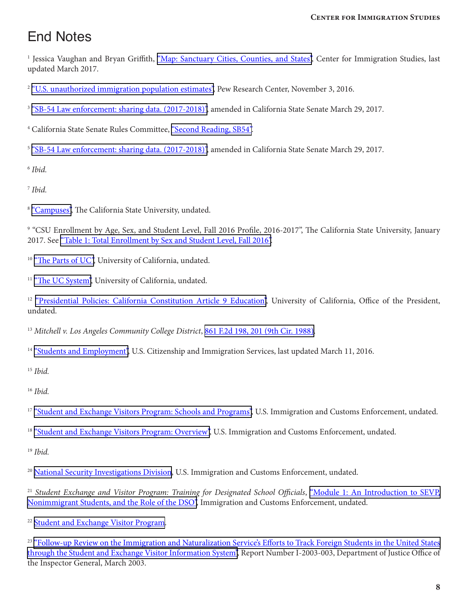## End Notes

<sup>1</sup> Jessica Vaughan and Bryan Griffith, <u>["Map: Sanctuary Cities, Counties, and States",](http://cis.org/Sanctuary-Cities-Map)</u> Center for Immigration Studies, last updated March 2017.

<sup>2</sup> ["U.S. unauthorized immigration population estimates"](http://www.pewhispanic.org/interactives/unauthorized-immigrants/), Pew Research Center, November 3, 2016.

<sup>3</sup> ["SB-54 Law enforcement: sharing data. \(2017-2018\)",](https://leginfo.legislature.ca.gov/faces/billNavClient.xhtml?bill_id=201720180SB54) amended in California State Senate March 29, 2017.

<sup>4</sup> California State Senate Rules Committee, ["Second Reading, SB54"](http://cis.org/sites/cis.org/files//sites/cis.org/files/senate-rules-committee.pdf..pdf).

<sup>5</sup> ["SB-54 Law enforcement: sharing data. \(2017-2018\)",](https://leginfo.legislature.ca.gov/faces/billNavClient.xhtml?bill_id=201720180SB54) amended in California State Senate March 29, 2017.

<sup>6</sup> *Ibid.*

<sup>7</sup> *Ibid.*

<sup>8</sup> ["Campuses",](https://www2.calstate.edu/attend/campuses) The California State University, undated.

9 "CSU Enrollment by Age, Sex, and Student Level, Fall 2016 Profile, 2016-2017", The California State University, January 2017. See ["Table 1: Total Enrollment by Sex and Student Level, Fall 2016"](http://www.calstate.edu/as/stat_reports/2016-2017/f16_01.htm).

<sup>10</sup> ["The Parts of UC"](https://www.universityofcalifornia.edu/uc-system/parts-of-uc), University of California, undated.

<sup>11</sup> ["The UC System",](https://www.universityofcalifornia.edu/uc-system) University of California, undated.

<sup>12</sup> ["Presidential Policies: California Constitution Article 9 Education"](http://policy.ucop.edu/delegations-of-authority/california-constitution-article-9-education.html), University of California, Office of the President, undated.

<sup>13</sup> Mitchell v. Los Angeles Community College District, [861 F.2d 198, 201 \(9th Cir. 1988\).](https://casetext.com/case/mitchell-v-los-angeles-comm-college-dist)

<sup>14</sup> ["Students and Employment"](https://www.uscis.gov/working-united-states/students-and-exchange-visitors/students-and-employment), U.S. Citizenship and Immigration Services, last updated March 11, 2016.

<sup>15</sup> *Ibid.*

<sup>16</sup> *Ibid.*

<sup>17</sup> ["Student and Exchange Visitors Program: Schools and Programs",](https://www.ice.gov/sevis/schools) U.S. Immigration and Customs Enforcement, undated.

<sup>18</sup> ["Student and Exchange Visitors Program: Overview"](https://www.ice.gov/sevis), U.S. Immigration and Customs Enforcement, undated.

<sup>19</sup> *Ibid.*

<sup>20</sup> [National Security Investigations Division,](https://www.ice.gov/national-security-investigations-division) U.S. Immigration and Customs Enforcement, undated.

<sup>21</sup> Student Exchange and Visitor Program: Training for Designated School Officials, "Module 1: An Introduction to SEVP, [Nonimmigrant Students, and the Role of the DSO"](https://www.ice.gov/exec/sevp/Module1.htm), Immigration and Customs Enforcement, undated.

<sup>22</sup> [Student and Exchange Visitor Program.](https://www.ice.gov/sevis)

<sup>23</sup> "Follow-up Review on the Immigration and Naturalization Service's Efforts to Track Foreign Students in the United States [through the Student and Exchange Visitor Information System",](https://oig.justice.gov/reports/INS/e0303/background.htm) Report Number I-2003-003, Department of Justice Office of the Inspector General, March 2003.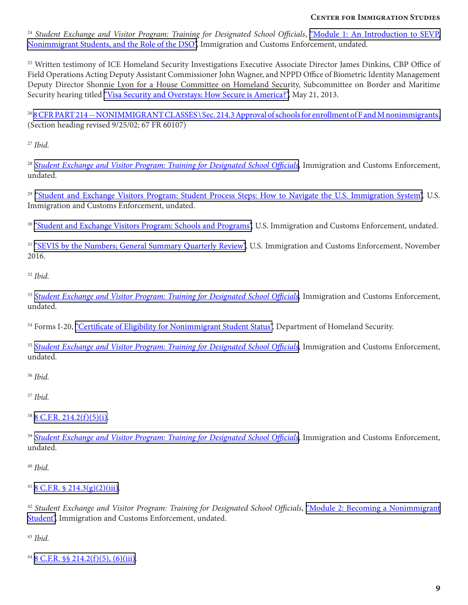<sup>24</sup> Student Exchange and Visitor Program: Training for Designated School Officials, "Module 1: An Introduction to SEVP, [Nonimmigrant Students, and the Role of the DSO"](https://www.ice.gov/exec/sevp/Module1.htm), Immigration and Customs Enforcement, undated.

<sup>25</sup> Written testimony of ICE Homeland Security Investigations Executive Associate Director James Dinkins, CBP Office of Field Operations Acting Deputy Assistant Commissioner John Wagner, and NPPD Office of Biometric Identity Management Deputy Director Shonnie Lyon for a House Committee on Homeland Security, Subcommittee on Border and Maritime Security hearing titled ["Visa Security and Overstays: How Secure is America?"](https://www.dhs.gov/news/2013/05/21/written-testimony-ice-cbp-and-nppd-house-homeland-security-subcommittee-border-and), May 21, 2013.

<sup>26</sup> [8 CFR PART 214 -- NONIMMIGRANT CLASSES \ Sec. 214.3 Approval of schools for enrollment of F and M nonimmigrants.](https://www.uscis.gov/ilink/docView/SLB/HTML/SLB/0-0-0-1/0-0-0-11261/0-0-0-17197/0-0-0-20666.html) (Section heading revised 9/25/02; 67 FR 60107)

<sup>27</sup> *Ibid.*

<sup>28</sup> [Student Exchange and Visitor Program: Training for Designated School Officials](https://www.ice.gov/doclib/sevis/pdf/SEVP_DSO_Training.pdf), Immigration and Customs Enforcement, undated.

<sup>29</sup> ["Student and Exchange Visitors Program: Student Process Steps: How to Navigate the U.S. Immigration System"](https://www.ice.gov/sevis/students), U.S. Immigration and Customs Enforcement, undated.

<sup>30</sup> ["Student and Exchange Visitors Program: Schools and Programs",](https://www.ice.gov/sevis/schools) U.S. Immigration and Customs Enforcement, undated.

<sup>31</sup> ["SEVIS by the Numbers; General Summary Quarterly Review"](https://www.ice.gov/doclib/sevis/pdf/byTheNumbersDec2016.pdf), U.S. Immigration and Customs Enforcement, November 2016.

<sup>32</sup> *Ibid.*

<sup>33</sup> [Student Exchange and Visitor Program: Training for Designated School Officials](https://www.ice.gov/doclib/sevis/pdf/SEVP_DSO_Training.pdf), Immigration and Customs Enforcement, undated.

<sup>34</sup> Forms I-20, ["Certificate of Eligibility for Nonimmigrant Student Status"](https://studyinthestates.dhs.gov/student-forms?form=Forms_I-20), Department of Homeland Security.

<sup>35</sup> *[Student Exchange and Visitor Program: Training for Designated School Officials](https://www.ice.gov/doclib/sevis/pdf/SEVP_DSO_Training.pdf)*, Immigration and Customs Enforcement, undated.

<sup>36</sup> *Ibid.*

<sup>37</sup> *Ibid.*

 $38$  [8 C.F.R. 214.2\(f\)\(5\)\(i\)](https://www.uscis.gov/ilink/docView/SLB/HTML/SLB/0-0-0-1/0-0-0-11261/0-0-0-17197/0-0-0-17636.html).

<sup>39</sup> [Student Exchange and Visitor Program: Training for Designated School Officials](https://www.ice.gov/doclib/sevis/pdf/SEVP_DSO_Training.pdf), Immigration and Customs Enforcement, undated.

<sup>40</sup> *Ibid.*

 $418$  C.F.R.  $$214.3(g)(2)(iii)$ .

<sup>42</sup> Student Exchange and Visitor Program: Training for Designated School Officials, "Module 2: Becoming a Nonimmigrant [Student"](https://www.ice.gov/exec/sevp/Module2.htm), Immigration and Customs Enforcement, undated.

<sup>43</sup> *Ibid.*

 $448$  C.F.R.  $\frac{6}{9}$  214.2(f)(5), (6)(iii).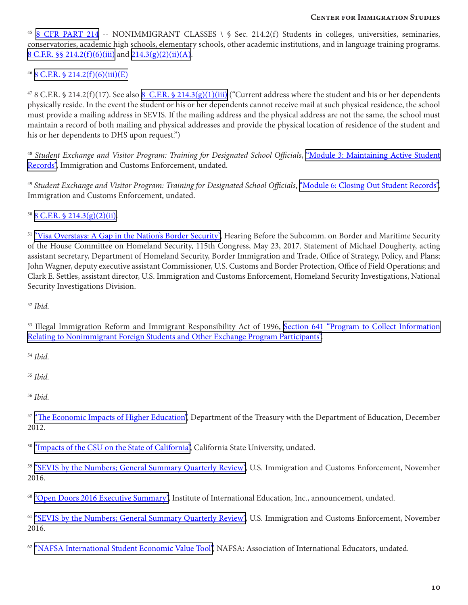<sup>45</sup> [8 CFR PART 214](https://www.uscis.gov/ilink/docView/SLB/HTML/SLB/0-0-0-1/0-0-0-11261/0-0-0-17197/0-0-0-17636.html) -- NONIMMIGRANT CLASSES \ § Sec. 214.2(f) Students in colleges, universities, seminaries, conservatories, academic high schools, elementary schools, other academic institutions, and in language training programs. [8 C.F.R. §§ 214.2\(f\)\(6\)\(iii\)](https://www.uscis.gov/ilink/docView/SLB/HTML/SLB/0-0-0-1/0-0-0-11261/0-0-0-17197/0-0-0-17636.html) and [214.3\(g\)\(2\)\(ii\)\(A\).](https://www.uscis.gov/ilink/docView/SLB/HTML/SLB/0-0-0-1/0-0-0-11261/0-0-0-17197/0-0-0-20666.html)

#### $46$  [8 C.F.R. § 214.2\(f\)\(6\)\(iii\)\(E\)](https://www.uscis.gov/ilink/docView/SLB/HTML/SLB/0-0-0-1/0-0-0-11261/0-0-0-17197/0-0-0-17636.html)

 $478$  C.F.R. § 214.2(f)(17). See also [8 C.F.R. § 214.3\(g\)\(1\)\(iii\)](https://www.uscis.gov/ilink/docView/SLB/HTML/SLB/0-0-0-1/0-0-0-11261/0-0-0-17197/0-0-0-20666.html) ("Current address where the student and his or her dependents physically reside. In the event the student or his or her dependents cannot receive mail at such physical residence, the school must provide a mailing address in SEVIS. If the mailing address and the physical address are not the same, the school must maintain a record of both mailing and physical addresses and provide the physical location of residence of the student and his or her dependents to DHS upon request.")

<sup>48</sup> Student Exchange and Visitor Program: Training for Designated School Officials, "Module 3: Maintaining Active Student [Records",](http://https://www.ice.gov/exec/sevp/Module3.htm) Immigration and Customs Enforcement, undated.

<sup>49</sup> Student Exchange and Visitor Program: Training for Designated School Officials, ["Module 6: Closing Out Student Records"](https://www.ice.gov/sevis/employment), Immigration and Customs Enforcement, undated.

 $50$  [8 C.F.R. § 214.3\(g\)\(2\)\(ii\).](https://www.uscis.gov/ilink/docView/SLB/HTML/SLB/0-0-0-1/0-0-0-11261/0-0-0-17197/0-0-0-20666.html)

<sup>51</sup> ["Visa Overstays: A Gap in the Nation's Border Security"](https://www.dhs.gov/news/2017/05/23/written-testimony-plcy-cbp-and-ice-house-homeland-security-subcommittee-border-and), Hearing Before the Subcomm. on Border and Maritime Security of the House Committee on Homeland Security, 115th Congress, May 23, 2017. Statement of Michael Dougherty, acting assistant secretary, Department of Homeland Security, Border Immigration and Trade, Office of Strategy, Policy, and Plans; John Wagner, deputy executive assistant Commissioner, U.S. Customs and Border Protection, Office of Field Operations; and Clark E. Settles, assistant director, U.S. Immigration and Customs Enforcement, Homeland Security Investigations, National Security Investigations Division.

<sup>52</sup> *Ibid.*

53 Illegal Immigration Reform and Immigrant Responsibility Act of 1996, [Section 641 "Program to Collect Information](https://www.uscis.gov/sites/default/files/ocomm/ilink/0-0-0-10948.html#0-0-0-1409) [Relating to Nonimmigrant Foreign Students and Other Exchange Program Participants"](https://www.uscis.gov/sites/default/files/ocomm/ilink/0-0-0-10948.html#0-0-0-1409).

<sup>54</sup> *Ibid.*

<sup>55</sup> *Ibid.*

<sup>56</sup> *Ibid.*

<sup>57</sup> ["The Economic Impacts of Higher Education"](https://www.treasury.gov/connect/blog/Documents/20121212_Economics of Higher Ed_vFINAL.pdf), Department of the Treasury with the Department of Education, December 2012.

<sup>58</sup> ["Impacts of the CSU on the State of California",](https://www.calstate.edu/impact/state/impacts.html) California State University, undated.

<sup>59</sup> ["SEVIS by the Numbers; General Summary Quarterly Review"](https://www.ice.gov/doclib/sevis/pdf/byTheNumbersDec2016.pdf), U.S. Immigration and Customs Enforcement, November 2016.

<sup>60</sup> ["Open Doors 2016 Executive Summary"](https://www.iie.org/Why-IIE/Announcements/2016-11-14-Open-Doors-Executive-Summary), Institute of International Education, Inc., announcement, undated.

<sup>61</sup> ["SEVIS by the Numbers; General Summary Quarterly Review"](https://www.ice.gov/doclib/sevis/pdf/byTheNumbersDec2016.pdf), U.S. Immigration and Customs Enforcement, November 2016.

62 ["NAFSA International Student Economic Value Tool"](http://www.nafsa.org/Policy_and_Advocacy/Policy_Resources/Policy_Trends_and_Data/NAFSA_International_Student_Economic_Value_Tool/), NAFSA: Association of International Educators, undated.